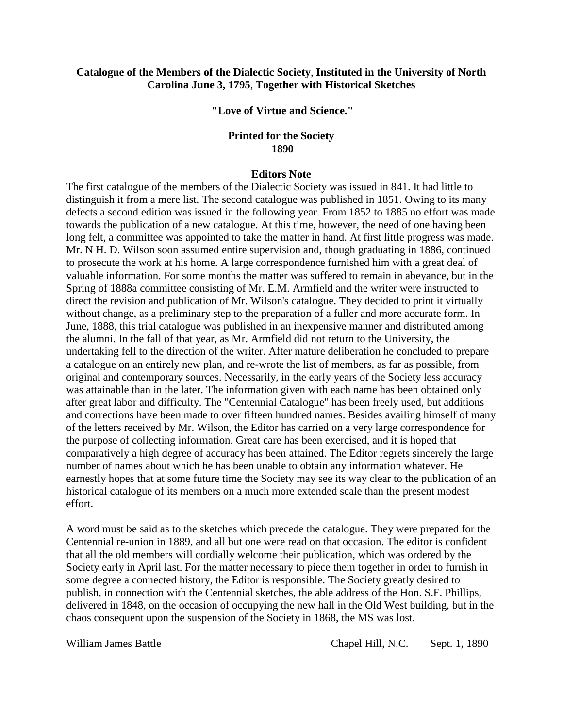# **Catalogue of the Members of the Dialectic Society**, **Instituted in the University of North Carolina June 3, 1795**, **Together with Historical Sketches**

**"Love of Virtue and Science."**

# **Printed for the Society 1890**

### **Editors Note**

The first catalogue of the members of the Dialectic Society was issued in 841. It had little to distinguish it from a mere list. The second catalogue was published in 1851. Owing to its many defects a second edition was issued in the following year. From 1852 to 1885 no effort was made towards the publication of a new catalogue. At this time, however, the need of one having been long felt, a committee was appointed to take the matter in hand. At first little progress was made. Mr. N H. D. Wilson soon assumed entire supervision and, though graduating in 1886, continued to prosecute the work at his home. A large correspondence furnished him with a great deal of valuable information. For some months the matter was suffered to remain in abeyance, but in the Spring of 1888a committee consisting of Mr. E.M. Armfield and the writer were instructed to direct the revision and publication of Mr. Wilson's catalogue. They decided to print it virtually without change, as a preliminary step to the preparation of a fuller and more accurate form. In June, 1888, this trial catalogue was published in an inexpensive manner and distributed among the alumni. In the fall of that year, as Mr. Armfield did not return to the University, the undertaking fell to the direction of the writer. After mature deliberation he concluded to prepare a catalogue on an entirely new plan, and re-wrote the list of members, as far as possible, from original and contemporary sources. Necessarily, in the early years of the Society less accuracy was attainable than in the later. The information given with each name has been obtained only after great labor and difficulty. The "Centennial Catalogue" has been freely used, but additions and corrections have been made to over fifteen hundred names. Besides availing himself of many of the letters received by Mr. Wilson, the Editor has carried on a very large correspondence for the purpose of collecting information. Great care has been exercised, and it is hoped that comparatively a high degree of accuracy has been attained. The Editor regrets sincerely the large number of names about which he has been unable to obtain any information whatever. He earnestly hopes that at some future time the Society may see its way clear to the publication of an historical catalogue of its members on a much more extended scale than the present modest effort.

A word must be said as to the sketches which precede the catalogue. They were prepared for the Centennial re-union in 1889, and all but one were read on that occasion. The editor is confident that all the old members will cordially welcome their publication, which was ordered by the Society early in April last. For the matter necessary to piece them together in order to furnish in some degree a connected history, the Editor is responsible. The Society greatly desired to publish, in connection with the Centennial sketches, the able address of the Hon. S.F. Phillips, delivered in 1848, on the occasion of occupying the new hall in the Old West building, but in the chaos consequent upon the suspension of the Society in 1868, the MS was lost.

William James Battle **Chapel Hill, N.C.** Sept. 1, 1890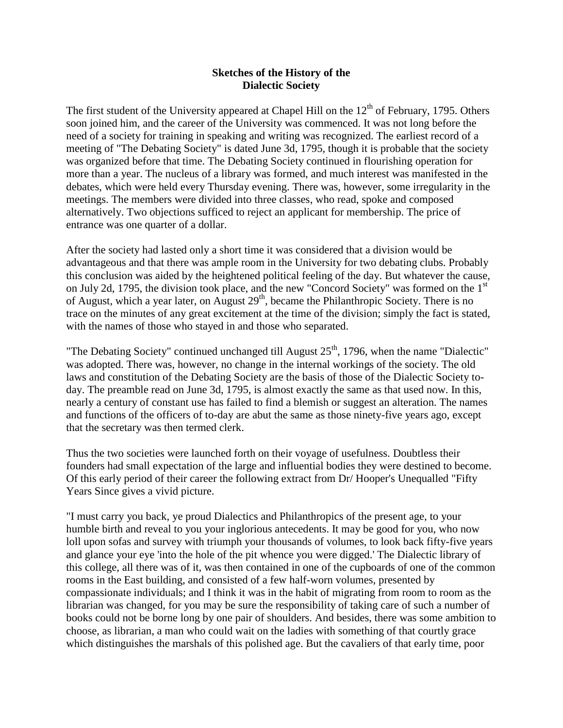# **Sketches of the History of the Dialectic Society**

The first student of the University appeared at Chapel Hill on the  $12<sup>th</sup>$  of February, 1795. Others soon joined him, and the career of the University was commenced. It was not long before the need of a society for training in speaking and writing was recognized. The earliest record of a meeting of "The Debating Society" is dated June 3d, 1795, though it is probable that the society was organized before that time. The Debating Society continued in flourishing operation for more than a year. The nucleus of a library was formed, and much interest was manifested in the debates, which were held every Thursday evening. There was, however, some irregularity in the meetings. The members were divided into three classes, who read, spoke and composed alternatively. Two objections sufficed to reject an applicant for membership. The price of entrance was one quarter of a dollar.

After the society had lasted only a short time it was considered that a division would be advantageous and that there was ample room in the University for two debating clubs. Probably this conclusion was aided by the heightened political feeling of the day. But whatever the cause, on July 2d, 1795, the division took place, and the new "Concord Society" was formed on the 1<sup>st</sup> of August, which a year later, on August 29<sup>th</sup>, became the Philanthropic Society. There is no trace on the minutes of any great excitement at the time of the division; simply the fact is stated, with the names of those who stayed in and those who separated.

"The Debating Society" continued unchanged till August  $25<sup>th</sup>$ , 1796, when the name "Dialectic" was adopted. There was, however, no change in the internal workings of the society. The old laws and constitution of the Debating Society are the basis of those of the Dialectic Society today. The preamble read on June 3d, 1795, is almost exactly the same as that used now. In this, nearly a century of constant use has failed to find a blemish or suggest an alteration. The names and functions of the officers of to-day are abut the same as those ninety-five years ago, except that the secretary was then termed clerk.

Thus the two societies were launched forth on their voyage of usefulness. Doubtless their founders had small expectation of the large and influential bodies they were destined to become. Of this early period of their career the following extract from Dr/ Hooper's Unequalled "Fifty Years Since gives a vivid picture.

"I must carry you back, ye proud Dialectics and Philanthropics of the present age, to your humble birth and reveal to you your inglorious antecedents. It may be good for you, who now loll upon sofas and survey with triumph your thousands of volumes, to look back fifty-five years and glance your eye 'into the hole of the pit whence you were digged.' The Dialectic library of this college, all there was of it, was then contained in one of the cupboards of one of the common rooms in the East building, and consisted of a few half-worn volumes, presented by compassionate individuals; and I think it was in the habit of migrating from room to room as the librarian was changed, for you may be sure the responsibility of taking care of such a number of books could not be borne long by one pair of shoulders. And besides, there was some ambition to choose, as librarian, a man who could wait on the ladies with something of that courtly grace which distinguishes the marshals of this polished age. But the cavaliers of that early time, poor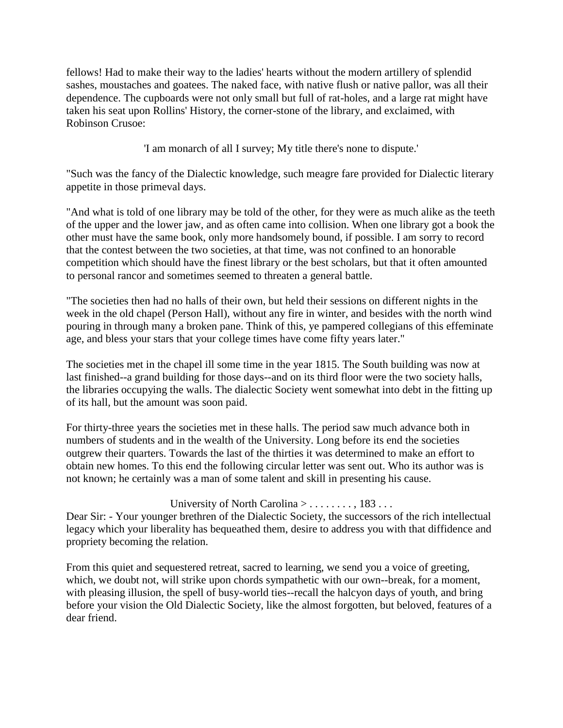fellows! Had to make their way to the ladies' hearts without the modern artillery of splendid sashes, moustaches and goatees. The naked face, with native flush or native pallor, was all their dependence. The cupboards were not only small but full of rat-holes, and a large rat might have taken his seat upon Rollins' History, the corner-stone of the library, and exclaimed, with Robinson Crusoe:

'I am monarch of all I survey; My title there's none to dispute.'

"Such was the fancy of the Dialectic knowledge, such meagre fare provided for Dialectic literary appetite in those primeval days.

"And what is told of one library may be told of the other, for they were as much alike as the teeth of the upper and the lower jaw, and as often came into collision. When one library got a book the other must have the same book, only more handsomely bound, if possible. I am sorry to record that the contest between the two societies, at that time, was not confined to an honorable competition which should have the finest library or the best scholars, but that it often amounted to personal rancor and sometimes seemed to threaten a general battle.

"The societies then had no halls of their own, but held their sessions on different nights in the week in the old chapel (Person Hall), without any fire in winter, and besides with the north wind pouring in through many a broken pane. Think of this, ye pampered collegians of this effeminate age, and bless your stars that your college times have come fifty years later."

The societies met in the chapel ill some time in the year 1815. The South building was now at last finished--a grand building for those days--and on its third floor were the two society halls, the libraries occupying the walls. The dialectic Society went somewhat into debt in the fitting up of its hall, but the amount was soon paid.

For thirty-three years the societies met in these halls. The period saw much advance both in numbers of students and in the wealth of the University. Long before its end the societies outgrew their quarters. Towards the last of the thirties it was determined to make an effort to obtain new homes. To this end the following circular letter was sent out. Who its author was is not known; he certainly was a man of some talent and skill in presenting his cause.

# University of North Carolina  $> \ldots \ldots$ , 183...

Dear Sir: - Your younger brethren of the Dialectic Society, the successors of the rich intellectual legacy which your liberality has bequeathed them, desire to address you with that diffidence and propriety becoming the relation.

From this quiet and sequestered retreat, sacred to learning, we send you a voice of greeting, which, we doubt not, will strike upon chords sympathetic with our own--break, for a moment, with pleasing illusion, the spell of busy-world ties--recall the halcyon days of youth, and bring before your vision the Old Dialectic Society, like the almost forgotten, but beloved, features of a dear friend.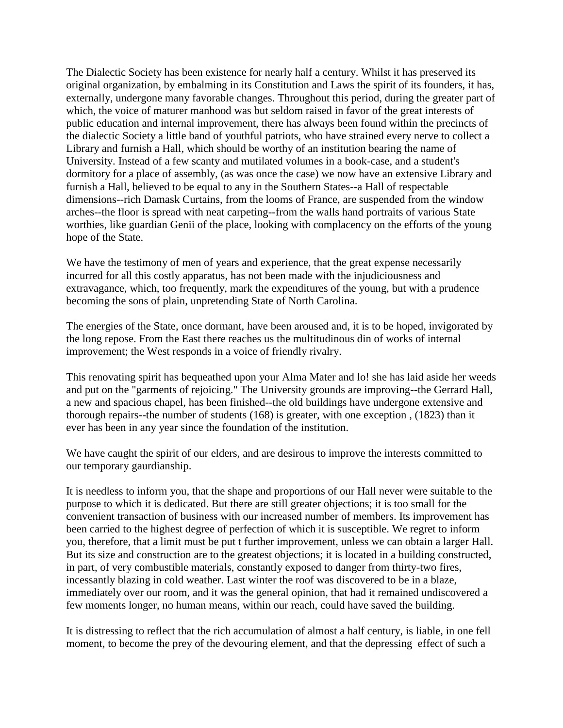The Dialectic Society has been existence for nearly half a century. Whilst it has preserved its original organization, by embalming in its Constitution and Laws the spirit of its founders, it has, externally, undergone many favorable changes. Throughout this period, during the greater part of which, the voice of maturer manhood was but seldom raised in favor of the great interests of public education and internal improvement, there has always been found within the precincts of the dialectic Society a little band of youthful patriots, who have strained every nerve to collect a Library and furnish a Hall, which should be worthy of an institution bearing the name of University. Instead of a few scanty and mutilated volumes in a book-case, and a student's dormitory for a place of assembly, (as was once the case) we now have an extensive Library and furnish a Hall, believed to be equal to any in the Southern States--a Hall of respectable dimensions--rich Damask Curtains, from the looms of France, are suspended from the window arches--the floor is spread with neat carpeting--from the walls hand portraits of various State worthies, like guardian Genii of the place, looking with complacency on the efforts of the young hope of the State.

We have the testimony of men of years and experience, that the great expense necessarily incurred for all this costly apparatus, has not been made with the injudiciousness and extravagance, which, too frequently, mark the expenditures of the young, but with a prudence becoming the sons of plain, unpretending State of North Carolina.

The energies of the State, once dormant, have been aroused and, it is to be hoped, invigorated by the long repose. From the East there reaches us the multitudinous din of works of internal improvement; the West responds in a voice of friendly rivalry.

This renovating spirit has bequeathed upon your Alma Mater and lo! she has laid aside her weeds and put on the "garments of rejoicing." The University grounds are improving--the Gerrard Hall, a new and spacious chapel, has been finished--the old buildings have undergone extensive and thorough repairs--the number of students (168) is greater, with one exception , (1823) than it ever has been in any year since the foundation of the institution.

We have caught the spirit of our elders, and are desirous to improve the interests committed to our temporary gaurdianship.

It is needless to inform you, that the shape and proportions of our Hall never were suitable to the purpose to which it is dedicated. But there are still greater objections; it is too small for the convenient transaction of business with our increased number of members. Its improvement has been carried to the highest degree of perfection of which it is susceptible. We regret to inform you, therefore, that a limit must be put t further improvement, unless we can obtain a larger Hall. But its size and construction are to the greatest objections; it is located in a building constructed, in part, of very combustible materials, constantly exposed to danger from thirty-two fires, incessantly blazing in cold weather. Last winter the roof was discovered to be in a blaze, immediately over our room, and it was the general opinion, that had it remained undiscovered a few moments longer, no human means, within our reach, could have saved the building.

It is distressing to reflect that the rich accumulation of almost a half century, is liable, in one fell moment, to become the prey of the devouring element, and that the depressing effect of such a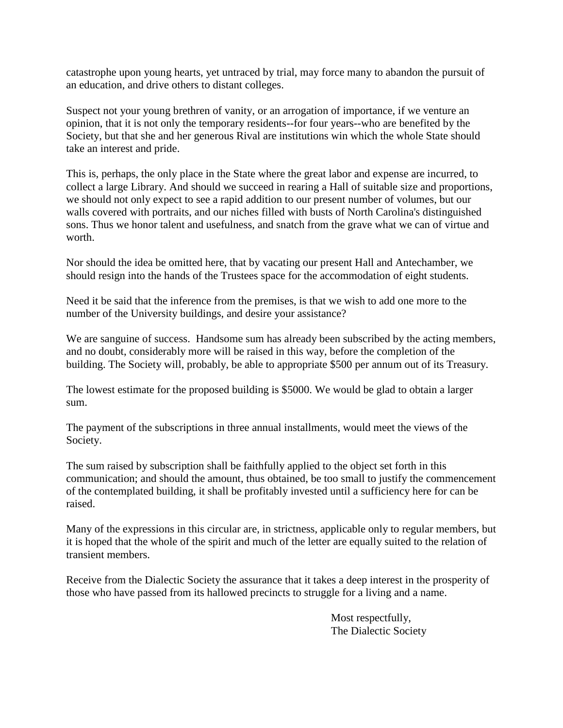catastrophe upon young hearts, yet untraced by trial, may force many to abandon the pursuit of an education, and drive others to distant colleges.

Suspect not your young brethren of vanity, or an arrogation of importance, if we venture an opinion, that it is not only the temporary residents--for four years--who are benefited by the Society, but that she and her generous Rival are institutions win which the whole State should take an interest and pride.

This is, perhaps, the only place in the State where the great labor and expense are incurred, to collect a large Library. And should we succeed in rearing a Hall of suitable size and proportions, we should not only expect to see a rapid addition to our present number of volumes, but our walls covered with portraits, and our niches filled with busts of North Carolina's distinguished sons. Thus we honor talent and usefulness, and snatch from the grave what we can of virtue and worth.

Nor should the idea be omitted here, that by vacating our present Hall and Antechamber, we should resign into the hands of the Trustees space for the accommodation of eight students.

Need it be said that the inference from the premises, is that we wish to add one more to the number of the University buildings, and desire your assistance?

We are sanguine of success. Handsome sum has already been subscribed by the acting members, and no doubt, considerably more will be raised in this way, before the completion of the building. The Society will, probably, be able to appropriate \$500 per annum out of its Treasury.

The lowest estimate for the proposed building is \$5000. We would be glad to obtain a larger sum.

The payment of the subscriptions in three annual installments, would meet the views of the Society.

The sum raised by subscription shall be faithfully applied to the object set forth in this communication; and should the amount, thus obtained, be too small to justify the commencement of the contemplated building, it shall be profitably invested until a sufficiency here for can be raised.

Many of the expressions in this circular are, in strictness, applicable only to regular members, but it is hoped that the whole of the spirit and much of the letter are equally suited to the relation of transient members.

Receive from the Dialectic Society the assurance that it takes a deep interest in the prosperity of those who have passed from its hallowed precincts to struggle for a living and a name.

> Most respectfully, The Dialectic Society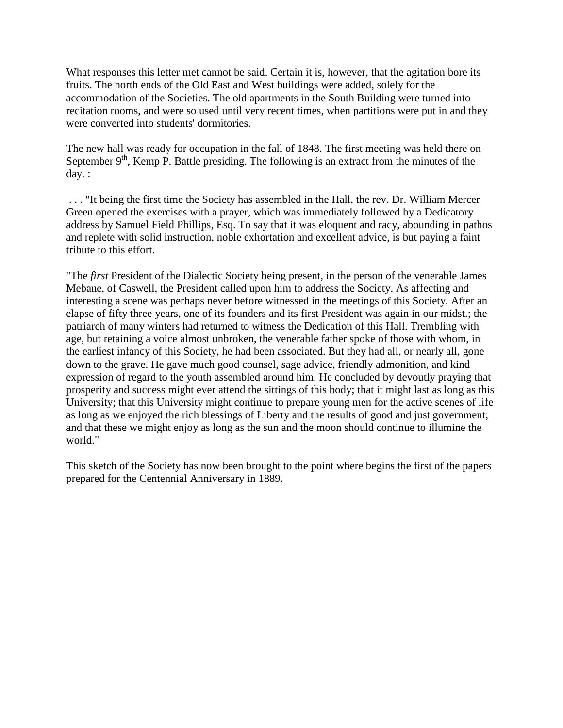What responses this letter met cannot be said. Certain it is, however, that the agitation bore its fruits. The north ends of the Old East and West buildings were added, solely for the accommodation of the Societies. The old apartments in the South Building were turned into recitation rooms, and were so used until very recent times, when partitions were put in and they were converted into students' dormitories.

The new hall was ready for occupation in the fall of 1848. The first meeting was held there on September  $9<sup>th</sup>$ , Kemp P. Battle presiding. The following is an extract from the minutes of the day. :

. . . "It being the first time the Society has assembled in the Hall, the rev. Dr. William Mercer Green opened the exercises with a prayer, which was immediately followed by a Dedicatory address by Samuel Field Phillips, Esq. To say that it was eloquent and racy, abounding in pathos and replete with solid instruction, noble exhortation and excellent advice, is but paying a faint tribute to this effort.

"The *first* President of the Dialectic Society being present, in the person of the venerable James Mebane, of Caswell, the President called upon him to address the Society. As affecting and interesting a scene was perhaps never before witnessed in the meetings of this Society. After an elapse of fifty three years, one of its founders and its first President was again in our midst.; the patriarch of many winters had returned to witness the Dedication of this Hall. Trembling with age, but retaining a voice almost unbroken, the venerable father spoke of those with whom, in the earliest infancy of this Society, he had been associated. But they had all, or nearly all, gone down to the grave. He gave much good counsel, sage advice, friendly admonition, and kind expression of regard to the youth assembled around him. He concluded by devoutly praying that prosperity and success might ever attend the sittings of this body; that it might last as long as this University; that this University might continue to prepare young men for the active scenes of life as long as we enjoyed the rich blessings of Liberty and the results of good and just government; and that these we might enjoy as long as the sun and the moon should continue to illumine the world."

This sketch of the Society has now been brought to the point where begins the first of the papers prepared for the Centennial Anniversary in 1889.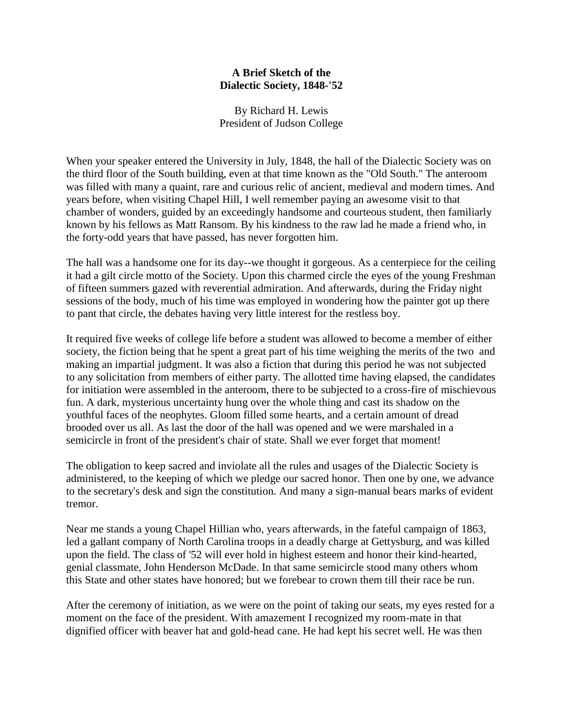# **A Brief Sketch of the Dialectic Society, 1848-'52**

By Richard H. Lewis President of Judson College

When your speaker entered the University in July, 1848, the hall of the Dialectic Society was on the third floor of the South building, even at that time known as the "Old South." The anteroom was filled with many a quaint, rare and curious relic of ancient, medieval and modern times. And years before, when visiting Chapel Hill, I well remember paying an awesome visit to that chamber of wonders, guided by an exceedingly handsome and courteous student, then familiarly known by his fellows as Matt Ransom. By his kindness to the raw lad he made a friend who, in the forty-odd years that have passed, has never forgotten him.

The hall was a handsome one for its day--we thought it gorgeous. As a centerpiece for the ceiling it had a gilt circle motto of the Society. Upon this charmed circle the eyes of the young Freshman of fifteen summers gazed with reverential admiration. And afterwards, during the Friday night sessions of the body, much of his time was employed in wondering how the painter got up there to pant that circle, the debates having very little interest for the restless boy.

It required five weeks of college life before a student was allowed to become a member of either society, the fiction being that he spent a great part of his time weighing the merits of the two and making an impartial judgment. It was also a fiction that during this period he was not subjected to any solicitation from members of either party. The allotted time having elapsed, the candidates for initiation were assembled in the anteroom, there to be subjected to a cross-fire of mischievous fun. A dark, mysterious uncertainty hung over the whole thing and cast its shadow on the youthful faces of the neophytes. Gloom filled some hearts, and a certain amount of dread brooded over us all. As last the door of the hall was opened and we were marshaled in a semicircle in front of the president's chair of state. Shall we ever forget that moment!

The obligation to keep sacred and inviolate all the rules and usages of the Dialectic Society is administered, to the keeping of which we pledge our sacred honor. Then one by one, we advance to the secretary's desk and sign the constitution. And many a sign-manual bears marks of evident tremor.

Near me stands a young Chapel Hillian who, years afterwards, in the fateful campaign of 1863, led a gallant company of North Carolina troops in a deadly charge at Gettysburg, and was killed upon the field. The class of '52 will ever hold in highest esteem and honor their kind-hearted, genial classmate, John Henderson McDade. In that same semicircle stood many others whom this State and other states have honored; but we forebear to crown them till their race be run.

After the ceremony of initiation, as we were on the point of taking our seats, my eyes rested for a moment on the face of the president. With amazement I recognized my room-mate in that dignified officer with beaver hat and gold-head cane. He had kept his secret well. He was then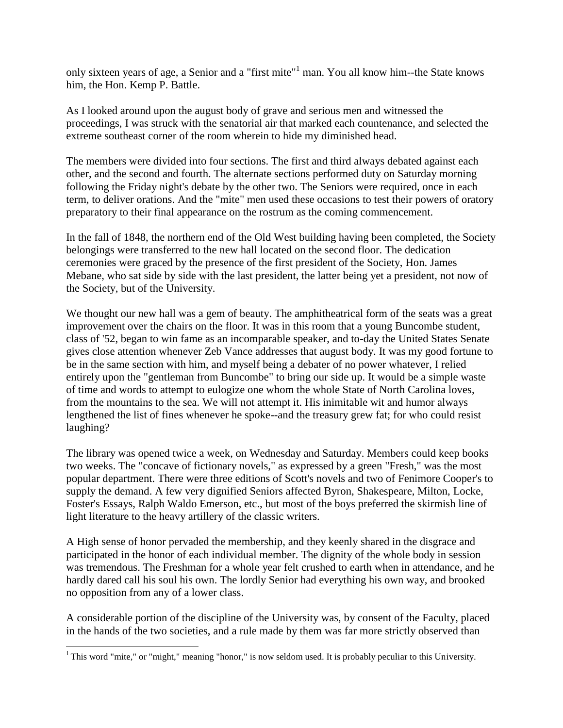only sixteen years of age, a Senior and a "first mite"<sup>1</sup> man. You all know him--the State knows him, the Hon. Kemp P. Battle.

As I looked around upon the august body of grave and serious men and witnessed the proceedings, I was struck with the senatorial air that marked each countenance, and selected the extreme southeast corner of the room wherein to hide my diminished head.

The members were divided into four sections. The first and third always debated against each other, and the second and fourth. The alternate sections performed duty on Saturday morning following the Friday night's debate by the other two. The Seniors were required, once in each term, to deliver orations. And the "mite" men used these occasions to test their powers of oratory preparatory to their final appearance on the rostrum as the coming commencement.

In the fall of 1848, the northern end of the Old West building having been completed, the Society belongings were transferred to the new hall located on the second floor. The dedication ceremonies were graced by the presence of the first president of the Society, Hon. James Mebane, who sat side by side with the last president, the latter being yet a president, not now of the Society, but of the University.

We thought our new hall was a gem of beauty. The amphitheatrical form of the seats was a great improvement over the chairs on the floor. It was in this room that a young Buncombe student, class of '52, began to win fame as an incomparable speaker, and to-day the United States Senate gives close attention whenever Zeb Vance addresses that august body. It was my good fortune to be in the same section with him, and myself being a debater of no power whatever, I relied entirely upon the "gentleman from Buncombe" to bring our side up. It would be a simple waste of time and words to attempt to eulogize one whom the whole State of North Carolina loves, from the mountains to the sea. We will not attempt it. His inimitable wit and humor always lengthened the list of fines whenever he spoke--and the treasury grew fat; for who could resist laughing?

The library was opened twice a week, on Wednesday and Saturday. Members could keep books two weeks. The "concave of fictionary novels," as expressed by a green "Fresh," was the most popular department. There were three editions of Scott's novels and two of Fenimore Cooper's to supply the demand. A few very dignified Seniors affected Byron, Shakespeare, Milton, Locke, Foster's Essays, Ralph Waldo Emerson, etc., but most of the boys preferred the skirmish line of light literature to the heavy artillery of the classic writers.

A High sense of honor pervaded the membership, and they keenly shared in the disgrace and participated in the honor of each individual member. The dignity of the whole body in session was tremendous. The Freshman for a whole year felt crushed to earth when in attendance, and he hardly dared call his soul his own. The lordly Senior had everything his own way, and brooked no opposition from any of a lower class.

A considerable portion of the discipline of the University was, by consent of the Faculty, placed in the hands of the two societies, and a rule made by them was far more strictly observed than

 $\overline{\phantom{a}}$ 

<sup>&</sup>lt;sup>1</sup> This word "mite," or "might," meaning "honor," is now seldom used. It is probably peculiar to this University.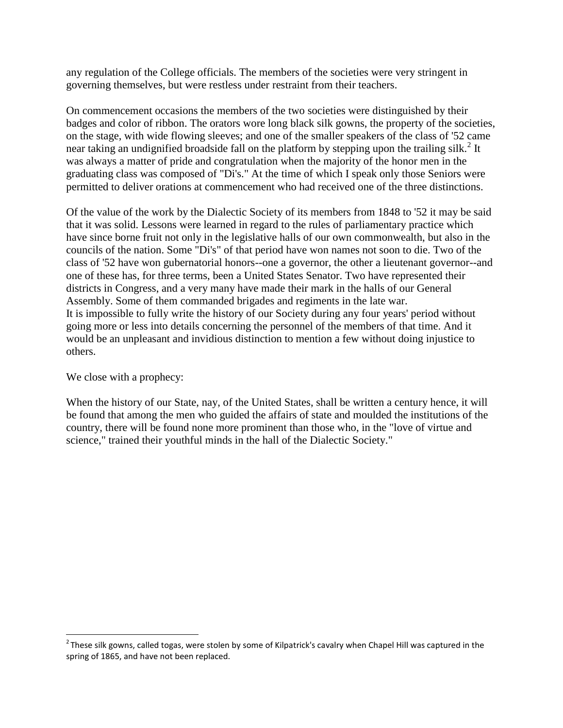any regulation of the College officials. The members of the societies were very stringent in governing themselves, but were restless under restraint from their teachers.

On commencement occasions the members of the two societies were distinguished by their badges and color of ribbon. The orators wore long black silk gowns, the property of the societies, on the stage, with wide flowing sleeves; and one of the smaller speakers of the class of '52 came near taking an undignified broadside fall on the platform by stepping upon the trailing silk.<sup>2</sup> It was always a matter of pride and congratulation when the majority of the honor men in the graduating class was composed of "Di's." At the time of which I speak only those Seniors were permitted to deliver orations at commencement who had received one of the three distinctions.

Of the value of the work by the Dialectic Society of its members from 1848 to '52 it may be said that it was solid. Lessons were learned in regard to the rules of parliamentary practice which have since borne fruit not only in the legislative halls of our own commonwealth, but also in the councils of the nation. Some "Di's" of that period have won names not soon to die. Two of the class of '52 have won gubernatorial honors--one a governor, the other a lieutenant governor--and one of these has, for three terms, been a United States Senator. Two have represented their districts in Congress, and a very many have made their mark in the halls of our General Assembly. Some of them commanded brigades and regiments in the late war. It is impossible to fully write the history of our Society during any four years' period without going more or less into details concerning the personnel of the members of that time. And it would be an unpleasant and invidious distinction to mention a few without doing injustice to others.

# We close with a prophecy:

l

When the history of our State, nay, of the United States, shall be written a century hence, it will be found that among the men who guided the affairs of state and moulded the institutions of the country, there will be found none more prominent than those who, in the "love of virtue and science," trained their youthful minds in the hall of the Dialectic Society."

 $^2$ These silk gowns, called togas, were stolen by some of Kilpatrick's cavalry when Chapel Hill was captured in the spring of 1865, and have not been replaced.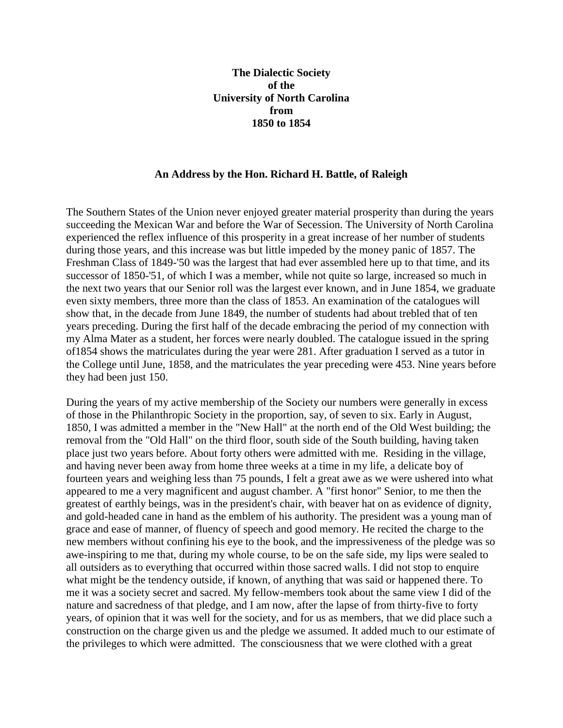# **The Dialectic Society of the University of North Carolina from 1850 to 1854**

#### **An Address by the Hon. Richard H. Battle, of Raleigh**

The Southern States of the Union never enjoyed greater material prosperity than during the years succeeding the Mexican War and before the War of Secession. The University of North Carolina experienced the reflex influence of this prosperity in a great increase of her number of students during those years, and this increase was but little impeded by the money panic of 1857. The Freshman Class of 1849-'50 was the largest that had ever assembled here up to that time, and its successor of 1850-'51, of which I was a member, while not quite so large, increased so much in the next two years that our Senior roll was the largest ever known, and in June 1854, we graduate even sixty members, three more than the class of 1853. An examination of the catalogues will show that, in the decade from June 1849, the number of students had about trebled that of ten years preceding. During the first half of the decade embracing the period of my connection with my Alma Mater as a student, her forces were nearly doubled. The catalogue issued in the spring of1854 shows the matriculates during the year were 281. After graduation I served as a tutor in the College until June, 1858, and the matriculates the year preceding were 453. Nine years before they had been just 150.

During the years of my active membership of the Society our numbers were generally in excess of those in the Philanthropic Society in the proportion, say, of seven to six. Early in August, 1850, I was admitted a member in the "New Hall" at the north end of the Old West building; the removal from the "Old Hall" on the third floor, south side of the South building, having taken place just two years before. About forty others were admitted with me. Residing in the village, and having never been away from home three weeks at a time in my life, a delicate boy of fourteen years and weighing less than 75 pounds, I felt a great awe as we were ushered into what appeared to me a very magnificent and august chamber. A "first honor" Senior, to me then the greatest of earthly beings, was in the president's chair, with beaver hat on as evidence of dignity, and gold-headed cane in hand as the emblem of his authority. The president was a young man of grace and ease of manner, of fluency of speech and good memory. He recited the charge to the new members without confining his eye to the book, and the impressiveness of the pledge was so awe-inspiring to me that, during my whole course, to be on the safe side, my lips were sealed to all outsiders as to everything that occurred within those sacred walls. I did not stop to enquire what might be the tendency outside, if known, of anything that was said or happened there. To me it was a society secret and sacred. My fellow-members took about the same view I did of the nature and sacredness of that pledge, and I am now, after the lapse of from thirty-five to forty years, of opinion that it was well for the society, and for us as members, that we did place such a construction on the charge given us and the pledge we assumed. It added much to our estimate of the privileges to which were admitted. The consciousness that we were clothed with a great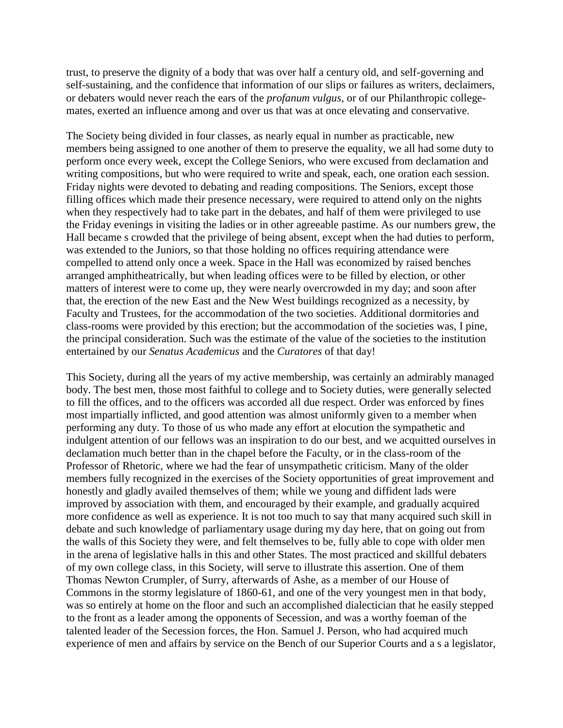trust, to preserve the dignity of a body that was over half a century old, and self-governing and self-sustaining, and the confidence that information of our slips or failures as writers, declaimers, or debaters would never reach the ears of the *profanum vulgus*, or of our Philanthropic collegemates, exerted an influence among and over us that was at once elevating and conservative.

The Society being divided in four classes, as nearly equal in number as practicable, new members being assigned to one another of them to preserve the equality, we all had some duty to perform once every week, except the College Seniors, who were excused from declamation and writing compositions, but who were required to write and speak, each, one oration each session. Friday nights were devoted to debating and reading compositions. The Seniors, except those filling offices which made their presence necessary, were required to attend only on the nights when they respectively had to take part in the debates, and half of them were privileged to use the Friday evenings in visiting the ladies or in other agreeable pastime. As our numbers grew, the Hall became s crowded that the privilege of being absent, except when the had duties to perform, was extended to the Juniors, so that those holding no offices requiring attendance were compelled to attend only once a week. Space in the Hall was economized by raised benches arranged amphitheatrically, but when leading offices were to be filled by election, or other matters of interest were to come up, they were nearly overcrowded in my day; and soon after that, the erection of the new East and the New West buildings recognized as a necessity, by Faculty and Trustees, for the accommodation of the two societies. Additional dormitories and class-rooms were provided by this erection; but the accommodation of the societies was, I pine, the principal consideration. Such was the estimate of the value of the societies to the institution entertained by our *Senatus Academicus* and the *Curatores* of that day!

This Society, during all the years of my active membership, was certainly an admirably managed body. The best men, those most faithful to college and to Society duties, were generally selected to fill the offices, and to the officers was accorded all due respect. Order was enforced by fines most impartially inflicted, and good attention was almost uniformly given to a member when performing any duty. To those of us who made any effort at elocution the sympathetic and indulgent attention of our fellows was an inspiration to do our best, and we acquitted ourselves in declamation much better than in the chapel before the Faculty, or in the class-room of the Professor of Rhetoric, where we had the fear of unsympathetic criticism. Many of the older members fully recognized in the exercises of the Society opportunities of great improvement and honestly and gladly availed themselves of them; while we young and diffident lads were improved by association with them, and encouraged by their example, and gradually acquired more confidence as well as experience. It is not too much to say that many acquired such skill in debate and such knowledge of parliamentary usage during my day here, that on going out from the walls of this Society they were, and felt themselves to be, fully able to cope with older men in the arena of legislative halls in this and other States. The most practiced and skillful debaters of my own college class, in this Society, will serve to illustrate this assertion. One of them Thomas Newton Crumpler, of Surry, afterwards of Ashe, as a member of our House of Commons in the stormy legislature of 1860-61, and one of the very youngest men in that body, was so entirely at home on the floor and such an accomplished dialectician that he easily stepped to the front as a leader among the opponents of Secession, and was a worthy foeman of the talented leader of the Secession forces, the Hon. Samuel J. Person, who had acquired much experience of men and affairs by service on the Bench of our Superior Courts and a s a legislator,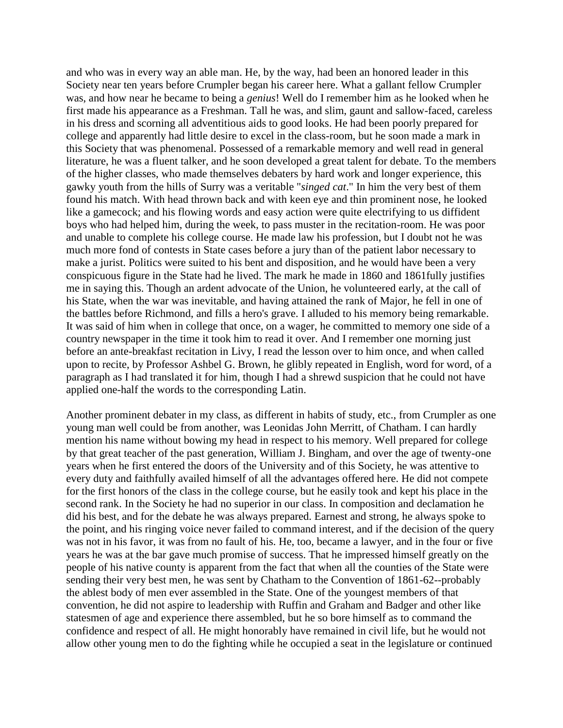and who was in every way an able man. He, by the way, had been an honored leader in this Society near ten years before Crumpler began his career here. What a gallant fellow Crumpler was, and how near he became to being a *genius*! Well do I remember him as he looked when he first made his appearance as a Freshman. Tall he was, and slim, gaunt and sallow-faced, careless in his dress and scorning all adventitious aids to good looks. He had been poorly prepared for college and apparently had little desire to excel in the class-room, but he soon made a mark in this Society that was phenomenal. Possessed of a remarkable memory and well read in general literature, he was a fluent talker, and he soon developed a great talent for debate. To the members of the higher classes, who made themselves debaters by hard work and longer experience, this gawky youth from the hills of Surry was a veritable "*singed cat*." In him the very best of them found his match. With head thrown back and with keen eye and thin prominent nose, he looked like a gamecock; and his flowing words and easy action were quite electrifying to us diffident boys who had helped him, during the week, to pass muster in the recitation-room. He was poor and unable to complete his college course. He made law his profession, but I doubt not he was much more fond of contests in State cases before a jury than of the patient labor necessary to make a jurist. Politics were suited to his bent and disposition, and he would have been a very conspicuous figure in the State had he lived. The mark he made in 1860 and 1861fully justifies me in saying this. Though an ardent advocate of the Union, he volunteered early, at the call of his State, when the war was inevitable, and having attained the rank of Major, he fell in one of the battles before Richmond, and fills a hero's grave. I alluded to his memory being remarkable. It was said of him when in college that once, on a wager, he committed to memory one side of a country newspaper in the time it took him to read it over. And I remember one morning just before an ante-breakfast recitation in Livy, I read the lesson over to him once, and when called upon to recite, by Professor Ashbel G. Brown, he glibly repeated in English, word for word, of a paragraph as I had translated it for him, though I had a shrewd suspicion that he could not have applied one-half the words to the corresponding Latin.

Another prominent debater in my class, as different in habits of study, etc., from Crumpler as one young man well could be from another, was Leonidas John Merritt, of Chatham. I can hardly mention his name without bowing my head in respect to his memory. Well prepared for college by that great teacher of the past generation, William J. Bingham, and over the age of twenty-one years when he first entered the doors of the University and of this Society, he was attentive to every duty and faithfully availed himself of all the advantages offered here. He did not compete for the first honors of the class in the college course, but he easily took and kept his place in the second rank. In the Society he had no superior in our class. In composition and declamation he did his best, and for the debate he was always prepared. Earnest and strong, he always spoke to the point, and his ringing voice never failed to command interest, and if the decision of the query was not in his favor, it was from no fault of his. He, too, became a lawyer, and in the four or five years he was at the bar gave much promise of success. That he impressed himself greatly on the people of his native county is apparent from the fact that when all the counties of the State were sending their very best men, he was sent by Chatham to the Convention of 1861-62--probably the ablest body of men ever assembled in the State. One of the youngest members of that convention, he did not aspire to leadership with Ruffin and Graham and Badger and other like statesmen of age and experience there assembled, but he so bore himself as to command the confidence and respect of all. He might honorably have remained in civil life, but he would not allow other young men to do the fighting while he occupied a seat in the legislature or continued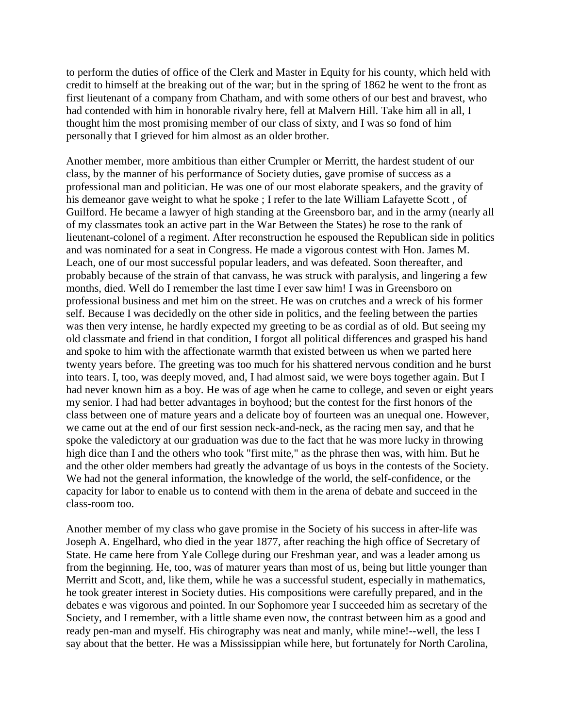to perform the duties of office of the Clerk and Master in Equity for his county, which held with credit to himself at the breaking out of the war; but in the spring of 1862 he went to the front as first lieutenant of a company from Chatham, and with some others of our best and bravest, who had contended with him in honorable rivalry here, fell at Malvern Hill. Take him all in all, I thought him the most promising member of our class of sixty, and I was so fond of him personally that I grieved for him almost as an older brother.

Another member, more ambitious than either Crumpler or Merritt, the hardest student of our class, by the manner of his performance of Society duties, gave promise of success as a professional man and politician. He was one of our most elaborate speakers, and the gravity of his demeanor gave weight to what he spoke ; I refer to the late William Lafayette Scott, of Guilford. He became a lawyer of high standing at the Greensboro bar, and in the army (nearly all of my classmates took an active part in the War Between the States) he rose to the rank of lieutenant-colonel of a regiment. After reconstruction he espoused the Republican side in politics and was nominated for a seat in Congress. He made a vigorous contest with Hon. James M. Leach, one of our most successful popular leaders, and was defeated. Soon thereafter, and probably because of the strain of that canvass, he was struck with paralysis, and lingering a few months, died. Well do I remember the last time I ever saw him! I was in Greensboro on professional business and met him on the street. He was on crutches and a wreck of his former self. Because I was decidedly on the other side in politics, and the feeling between the parties was then very intense, he hardly expected my greeting to be as cordial as of old. But seeing my old classmate and friend in that condition, I forgot all political differences and grasped his hand and spoke to him with the affectionate warmth that existed between us when we parted here twenty years before. The greeting was too much for his shattered nervous condition and he burst into tears. I, too, was deeply moved, and, I had almost said, we were boys together again. But I had never known him as a boy. He was of age when he came to college, and seven or eight years my senior. I had had better advantages in boyhood; but the contest for the first honors of the class between one of mature years and a delicate boy of fourteen was an unequal one. However, we came out at the end of our first session neck-and-neck, as the racing men say, and that he spoke the valedictory at our graduation was due to the fact that he was more lucky in throwing high dice than I and the others who took "first mite," as the phrase then was, with him. But he and the other older members had greatly the advantage of us boys in the contests of the Society. We had not the general information, the knowledge of the world, the self-confidence, or the capacity for labor to enable us to contend with them in the arena of debate and succeed in the class-room too.

Another member of my class who gave promise in the Society of his success in after-life was Joseph A. Engelhard, who died in the year 1877, after reaching the high office of Secretary of State. He came here from Yale College during our Freshman year, and was a leader among us from the beginning. He, too, was of maturer years than most of us, being but little younger than Merritt and Scott, and, like them, while he was a successful student, especially in mathematics, he took greater interest in Society duties. His compositions were carefully prepared, and in the debates e was vigorous and pointed. In our Sophomore year I succeeded him as secretary of the Society, and I remember, with a little shame even now, the contrast between him as a good and ready pen-man and myself. His chirography was neat and manly, while mine!--well, the less I say about that the better. He was a Mississippian while here, but fortunately for North Carolina,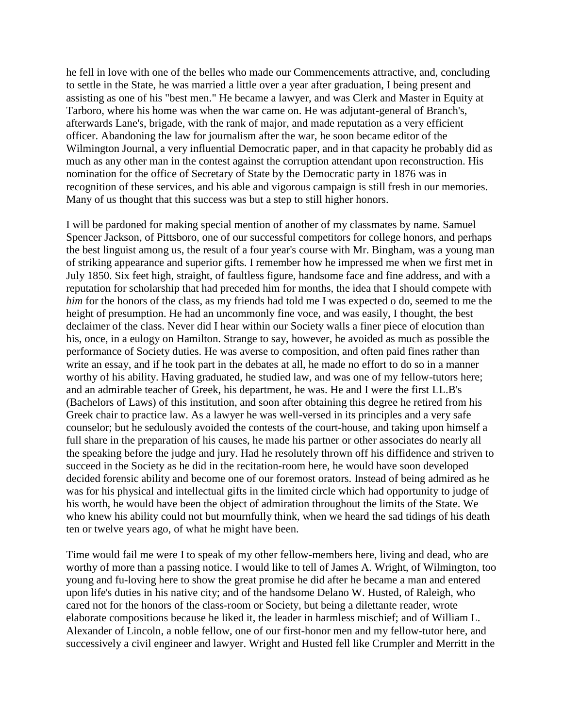he fell in love with one of the belles who made our Commencements attractive, and, concluding to settle in the State, he was married a little over a year after graduation, I being present and assisting as one of his "best men." He became a lawyer, and was Clerk and Master in Equity at Tarboro, where his home was when the war came on. He was adjutant-general of Branch's, afterwards Lane's, brigade, with the rank of major, and made reputation as a very efficient officer. Abandoning the law for journalism after the war, he soon became editor of the Wilmington Journal, a very influential Democratic paper, and in that capacity he probably did as much as any other man in the contest against the corruption attendant upon reconstruction. His nomination for the office of Secretary of State by the Democratic party in 1876 was in recognition of these services, and his able and vigorous campaign is still fresh in our memories. Many of us thought that this success was but a step to still higher honors.

I will be pardoned for making special mention of another of my classmates by name. Samuel Spencer Jackson, of Pittsboro, one of our successful competitors for college honors, and perhaps the best linguist among us, the result of a four year's course with Mr. Bingham, was a young man of striking appearance and superior gifts. I remember how he impressed me when we first met in July 1850. Six feet high, straight, of faultless figure, handsome face and fine address, and with a reputation for scholarship that had preceded him for months, the idea that I should compete with *him* for the honors of the class, as my friends had told me I was expected o do, seemed to me the height of presumption. He had an uncommonly fine voce, and was easily, I thought, the best declaimer of the class. Never did I hear within our Society walls a finer piece of elocution than his, once, in a eulogy on Hamilton. Strange to say, however, he avoided as much as possible the performance of Society duties. He was averse to composition, and often paid fines rather than write an essay, and if he took part in the debates at all, he made no effort to do so in a manner worthy of his ability. Having graduated, he studied law, and was one of my fellow-tutors here; and an admirable teacher of Greek, his department, he was. He and I were the first LL.B's (Bachelors of Laws) of this institution, and soon after obtaining this degree he retired from his Greek chair to practice law. As a lawyer he was well-versed in its principles and a very safe counselor; but he sedulously avoided the contests of the court-house, and taking upon himself a full share in the preparation of his causes, he made his partner or other associates do nearly all the speaking before the judge and jury. Had he resolutely thrown off his diffidence and striven to succeed in the Society as he did in the recitation-room here, he would have soon developed decided forensic ability and become one of our foremost orators. Instead of being admired as he was for his physical and intellectual gifts in the limited circle which had opportunity to judge of his worth, he would have been the object of admiration throughout the limits of the State. We who knew his ability could not but mournfully think, when we heard the sad tidings of his death ten or twelve years ago, of what he might have been.

Time would fail me were I to speak of my other fellow-members here, living and dead, who are worthy of more than a passing notice. I would like to tell of James A. Wright, of Wilmington, too young and fu-loving here to show the great promise he did after he became a man and entered upon life's duties in his native city; and of the handsome Delano W. Husted, of Raleigh, who cared not for the honors of the class-room or Society, but being a dilettante reader, wrote elaborate compositions because he liked it, the leader in harmless mischief; and of William L. Alexander of Lincoln, a noble fellow, one of our first-honor men and my fellow-tutor here, and successively a civil engineer and lawyer. Wright and Husted fell like Crumpler and Merritt in the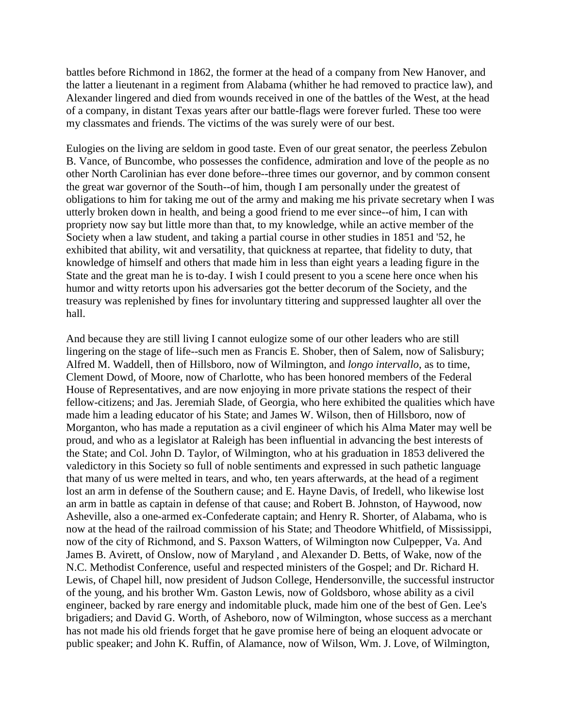battles before Richmond in 1862, the former at the head of a company from New Hanover, and the latter a lieutenant in a regiment from Alabama (whither he had removed to practice law), and Alexander lingered and died from wounds received in one of the battles of the West, at the head of a company, in distant Texas years after our battle-flags were forever furled. These too were my classmates and friends. The victims of the was surely were of our best.

Eulogies on the living are seldom in good taste. Even of our great senator, the peerless Zebulon B. Vance, of Buncombe, who possesses the confidence, admiration and love of the people as no other North Carolinian has ever done before--three times our governor, and by common consent the great war governor of the South--of him, though I am personally under the greatest of obligations to him for taking me out of the army and making me his private secretary when I was utterly broken down in health, and being a good friend to me ever since--of him, I can with propriety now say but little more than that, to my knowledge, while an active member of the Society when a law student, and taking a partial course in other studies in 1851 and '52, he exhibited that ability, wit and versatility, that quickness at repartee, that fidelity to duty, that knowledge of himself and others that made him in less than eight years a leading figure in the State and the great man he is to-day. I wish I could present to you a scene here once when his humor and witty retorts upon his adversaries got the better decorum of the Society, and the treasury was replenished by fines for involuntary tittering and suppressed laughter all over the hall.

And because they are still living I cannot eulogize some of our other leaders who are still lingering on the stage of life--such men as Francis E. Shober, then of Salem, now of Salisbury; Alfred M. Waddell, then of Hillsboro, now of Wilmington, and *longo intervallo*, as to time, Clement Dowd, of Moore, now of Charlotte, who has been honored members of the Federal House of Representatives, and are now enjoying in more private stations the respect of their fellow-citizens; and Jas. Jeremiah Slade, of Georgia, who here exhibited the qualities which have made him a leading educator of his State; and James W. Wilson, then of Hillsboro, now of Morganton, who has made a reputation as a civil engineer of which his Alma Mater may well be proud, and who as a legislator at Raleigh has been influential in advancing the best interests of the State; and Col. John D. Taylor, of Wilmington, who at his graduation in 1853 delivered the valedictory in this Society so full of noble sentiments and expressed in such pathetic language that many of us were melted in tears, and who, ten years afterwards, at the head of a regiment lost an arm in defense of the Southern cause; and E. Hayne Davis, of Iredell, who likewise lost an arm in battle as captain in defense of that cause; and Robert B. Johnston, of Haywood, now Asheville, also a one-armed ex-Confederate captain; and Henry R. Shorter, of Alabama, who is now at the head of the railroad commission of his State; and Theodore Whitfield, of Mississippi, now of the city of Richmond, and S. Paxson Watters, of Wilmington now Culpepper, Va. And James B. Avirett, of Onslow, now of Maryland , and Alexander D. Betts, of Wake, now of the N.C. Methodist Conference, useful and respected ministers of the Gospel; and Dr. Richard H. Lewis, of Chapel hill, now president of Judson College, Hendersonville, the successful instructor of the young, and his brother Wm. Gaston Lewis, now of Goldsboro, whose ability as a civil engineer, backed by rare energy and indomitable pluck, made him one of the best of Gen. Lee's brigadiers; and David G. Worth, of Asheboro, now of Wilmington, whose success as a merchant has not made his old friends forget that he gave promise here of being an eloquent advocate or public speaker; and John K. Ruffin, of Alamance, now of Wilson, Wm. J. Love, of Wilmington,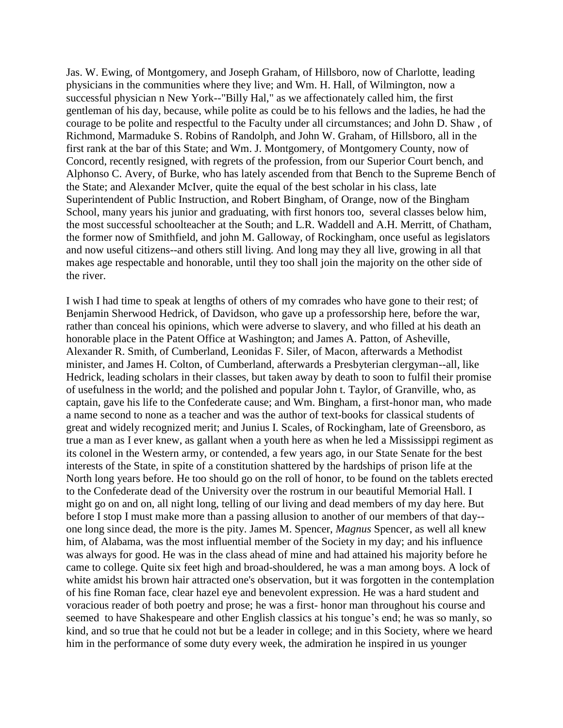Jas. W. Ewing, of Montgomery, and Joseph Graham, of Hillsboro, now of Charlotte, leading physicians in the communities where they live; and Wm. H. Hall, of Wilmington, now a successful physician n New York--"Billy Hal," as we affectionately called him, the first gentleman of his day, because, while polite as could be to his fellows and the ladies, he had the courage to be polite and respectful to the Faculty under all circumstances; and John D. Shaw , of Richmond, Marmaduke S. Robins of Randolph, and John W. Graham, of Hillsboro, all in the first rank at the bar of this State; and Wm. J. Montgomery, of Montgomery County, now of Concord, recently resigned, with regrets of the profession, from our Superior Court bench, and Alphonso C. Avery, of Burke, who has lately ascended from that Bench to the Supreme Bench of the State; and Alexander McIver, quite the equal of the best scholar in his class, late Superintendent of Public Instruction, and Robert Bingham, of Orange, now of the Bingham School, many years his junior and graduating, with first honors too, several classes below him, the most successful schoolteacher at the South; and L.R. Waddell and A.H. Merritt, of Chatham, the former now of Smithfield, and john M. Galloway, of Rockingham, once useful as legislators and now useful citizens--and others still living. And long may they all live, growing in all that makes age respectable and honorable, until they too shall join the majority on the other side of the river.

I wish I had time to speak at lengths of others of my comrades who have gone to their rest; of Benjamin Sherwood Hedrick, of Davidson, who gave up a professorship here, before the war, rather than conceal his opinions, which were adverse to slavery, and who filled at his death an honorable place in the Patent Office at Washington; and James A. Patton, of Asheville, Alexander R. Smith, of Cumberland, Leonidas F. Siler, of Macon, afterwards a Methodist minister, and James H. Colton, of Cumberland, afterwards a Presbyterian clergyman--all, like Hedrick, leading scholars in their classes, but taken away by death to soon to fulfil their promise of usefulness in the world; and the polished and popular John t. Taylor, of Granville, who, as captain, gave his life to the Confederate cause; and Wm. Bingham, a first-honor man, who made a name second to none as a teacher and was the author of text-books for classical students of great and widely recognized merit; and Junius I. Scales, of Rockingham, late of Greensboro, as true a man as I ever knew, as gallant when a youth here as when he led a Mississippi regiment as its colonel in the Western army, or contended, a few years ago, in our State Senate for the best interests of the State, in spite of a constitution shattered by the hardships of prison life at the North long years before. He too should go on the roll of honor, to be found on the tablets erected to the Confederate dead of the University over the rostrum in our beautiful Memorial Hall. I might go on and on, all night long, telling of our living and dead members of my day here. But before I stop I must make more than a passing allusion to another of our members of that day- one long since dead, the more is the pity. James M. Spencer, *Magnus* Spencer, as well all knew him, of Alabama, was the most influential member of the Society in my day; and his influence was always for good. He was in the class ahead of mine and had attained his majority before he came to college. Quite six feet high and broad-shouldered, he was a man among boys. A lock of white amidst his brown hair attracted one's observation, but it was forgotten in the contemplation of his fine Roman face, clear hazel eye and benevolent expression. He was a hard student and voracious reader of both poetry and prose; he was a first- honor man throughout his course and seemed to have Shakespeare and other English classics at his tongue's end; he was so manly, so kind, and so true that he could not but be a leader in college; and in this Society, where we heard him in the performance of some duty every week, the admiration he inspired in us younger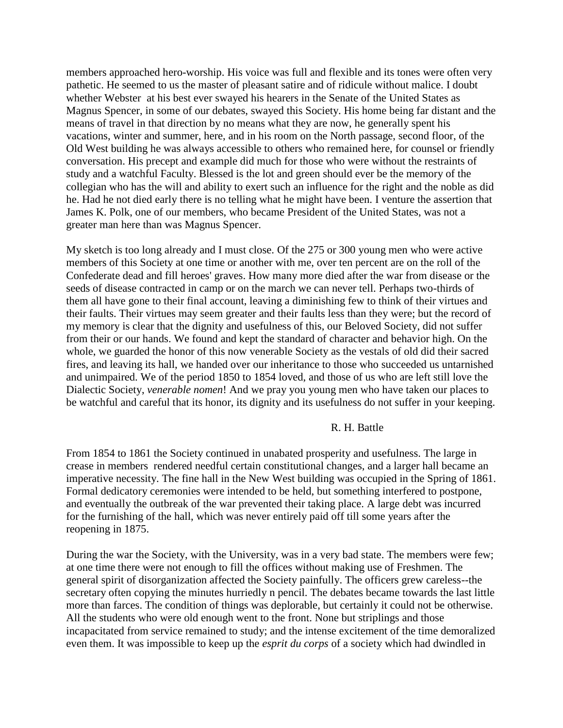members approached hero-worship. His voice was full and flexible and its tones were often very pathetic. He seemed to us the master of pleasant satire and of ridicule without malice. I doubt whether Webster at his best ever swayed his hearers in the Senate of the United States as Magnus Spencer, in some of our debates, swayed this Society. His home being far distant and the means of travel in that direction by no means what they are now, he generally spent his vacations, winter and summer, here, and in his room on the North passage, second floor, of the Old West building he was always accessible to others who remained here, for counsel or friendly conversation. His precept and example did much for those who were without the restraints of study and a watchful Faculty. Blessed is the lot and green should ever be the memory of the collegian who has the will and ability to exert such an influence for the right and the noble as did he. Had he not died early there is no telling what he might have been. I venture the assertion that James K. Polk, one of our members, who became President of the United States, was not a greater man here than was Magnus Spencer.

My sketch is too long already and I must close. Of the 275 or 300 young men who were active members of this Society at one time or another with me, over ten percent are on the roll of the Confederate dead and fill heroes' graves. How many more died after the war from disease or the seeds of disease contracted in camp or on the march we can never tell. Perhaps two-thirds of them all have gone to their final account, leaving a diminishing few to think of their virtues and their faults. Their virtues may seem greater and their faults less than they were; but the record of my memory is clear that the dignity and usefulness of this, our Beloved Society, did not suffer from their or our hands. We found and kept the standard of character and behavior high. On the whole, we guarded the honor of this now venerable Society as the vestals of old did their sacred fires, and leaving its hall, we handed over our inheritance to those who succeeded us untarnished and unimpaired. We of the period 1850 to 1854 loved, and those of us who are left still love the Dialectic Society, *venerable nomen*! And we pray you young men who have taken our places to be watchful and careful that its honor, its dignity and its usefulness do not suffer in your keeping.

#### R. H. Battle

From 1854 to 1861 the Society continued in unabated prosperity and usefulness. The large in crease in members rendered needful certain constitutional changes, and a larger hall became an imperative necessity. The fine hall in the New West building was occupied in the Spring of 1861. Formal dedicatory ceremonies were intended to be held, but something interfered to postpone, and eventually the outbreak of the war prevented their taking place. A large debt was incurred for the furnishing of the hall, which was never entirely paid off till some years after the reopening in 1875.

During the war the Society, with the University, was in a very bad state. The members were few; at one time there were not enough to fill the offices without making use of Freshmen. The general spirit of disorganization affected the Society painfully. The officers grew careless--the secretary often copying the minutes hurriedly n pencil. The debates became towards the last little more than farces. The condition of things was deplorable, but certainly it could not be otherwise. All the students who were old enough went to the front. None but striplings and those incapacitated from service remained to study; and the intense excitement of the time demoralized even them. It was impossible to keep up the *esprit du corps* of a society which had dwindled in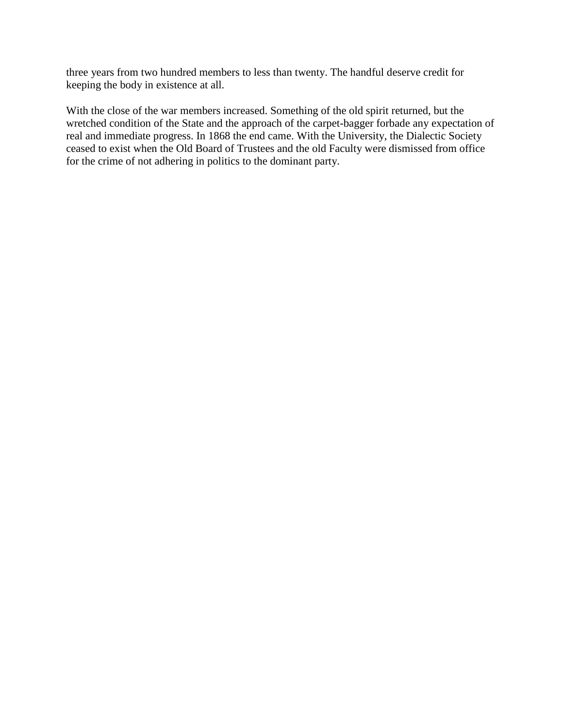three years from two hundred members to less than twenty. The handful deserve credit for keeping the body in existence at all.

With the close of the war members increased. Something of the old spirit returned, but the wretched condition of the State and the approach of the carpet-bagger forbade any expectation of real and immediate progress. In 1868 the end came. With the University, the Dialectic Society ceased to exist when the Old Board of Trustees and the old Faculty were dismissed from office for the crime of not adhering in politics to the dominant party.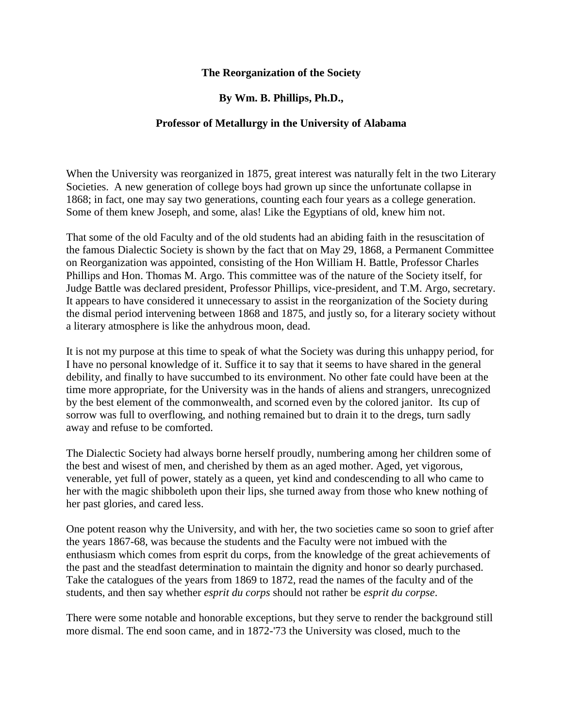# **The Reorganization of the Society**

# **By Wm. B. Phillips, Ph.D.,**

### **Professor of Metallurgy in the University of Alabama**

When the University was reorganized in 1875, great interest was naturally felt in the two Literary Societies. A new generation of college boys had grown up since the unfortunate collapse in 1868; in fact, one may say two generations, counting each four years as a college generation. Some of them knew Joseph, and some, alas! Like the Egyptians of old, knew him not.

That some of the old Faculty and of the old students had an abiding faith in the resuscitation of the famous Dialectic Society is shown by the fact that on May 29, 1868, a Permanent Committee on Reorganization was appointed, consisting of the Hon William H. Battle, Professor Charles Phillips and Hon. Thomas M. Argo. This committee was of the nature of the Society itself, for Judge Battle was declared president, Professor Phillips, vice-president, and T.M. Argo, secretary. It appears to have considered it unnecessary to assist in the reorganization of the Society during the dismal period intervening between 1868 and 1875, and justly so, for a literary society without a literary atmosphere is like the anhydrous moon, dead.

It is not my purpose at this time to speak of what the Society was during this unhappy period, for I have no personal knowledge of it. Suffice it to say that it seems to have shared in the general debility, and finally to have succumbed to its environment. No other fate could have been at the time more appropriate, for the University was in the hands of aliens and strangers, unrecognized by the best element of the commonwealth, and scorned even by the colored janitor. Its cup of sorrow was full to overflowing, and nothing remained but to drain it to the dregs, turn sadly away and refuse to be comforted.

The Dialectic Society had always borne herself proudly, numbering among her children some of the best and wisest of men, and cherished by them as an aged mother. Aged, yet vigorous, venerable, yet full of power, stately as a queen, yet kind and condescending to all who came to her with the magic shibboleth upon their lips, she turned away from those who knew nothing of her past glories, and cared less.

One potent reason why the University, and with her, the two societies came so soon to grief after the years 1867-68, was because the students and the Faculty were not imbued with the enthusiasm which comes from esprit du corps, from the knowledge of the great achievements of the past and the steadfast determination to maintain the dignity and honor so dearly purchased. Take the catalogues of the years from 1869 to 1872, read the names of the faculty and of the students, and then say whether *esprit du corps* should not rather be *esprit du corpse*.

There were some notable and honorable exceptions, but they serve to render the background still more dismal. The end soon came, and in 1872-'73 the University was closed, much to the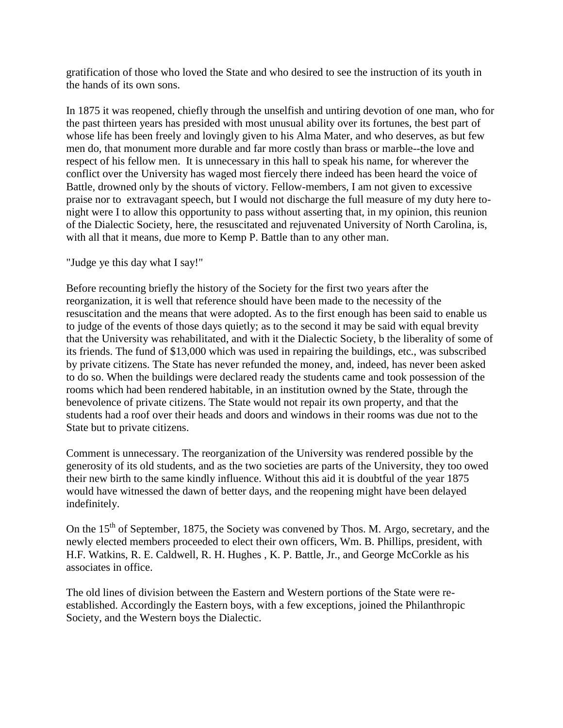gratification of those who loved the State and who desired to see the instruction of its youth in the hands of its own sons.

In 1875 it was reopened, chiefly through the unselfish and untiring devotion of one man, who for the past thirteen years has presided with most unusual ability over its fortunes, the best part of whose life has been freely and lovingly given to his Alma Mater, and who deserves, as but few men do, that monument more durable and far more costly than brass or marble--the love and respect of his fellow men. It is unnecessary in this hall to speak his name, for wherever the conflict over the University has waged most fiercely there indeed has been heard the voice of Battle, drowned only by the shouts of victory. Fellow-members, I am not given to excessive praise nor to extravagant speech, but I would not discharge the full measure of my duty here tonight were I to allow this opportunity to pass without asserting that, in my opinion, this reunion of the Dialectic Society, here, the resuscitated and rejuvenated University of North Carolina, is, with all that it means, due more to Kemp P. Battle than to any other man.

"Judge ye this day what I say!"

Before recounting briefly the history of the Society for the first two years after the reorganization, it is well that reference should have been made to the necessity of the resuscitation and the means that were adopted. As to the first enough has been said to enable us to judge of the events of those days quietly; as to the second it may be said with equal brevity that the University was rehabilitated, and with it the Dialectic Society, b the liberality of some of its friends. The fund of \$13,000 which was used in repairing the buildings, etc., was subscribed by private citizens. The State has never refunded the money, and, indeed, has never been asked to do so. When the buildings were declared ready the students came and took possession of the rooms which had been rendered habitable, in an institution owned by the State, through the benevolence of private citizens. The State would not repair its own property, and that the students had a roof over their heads and doors and windows in their rooms was due not to the State but to private citizens.

Comment is unnecessary. The reorganization of the University was rendered possible by the generosity of its old students, and as the two societies are parts of the University, they too owed their new birth to the same kindly influence. Without this aid it is doubtful of the year 1875 would have witnessed the dawn of better days, and the reopening might have been delayed indefinitely.

On the  $15<sup>th</sup>$  of September, 1875, the Society was convened by Thos. M. Argo, secretary, and the newly elected members proceeded to elect their own officers, Wm. B. Phillips, president, with H.F. Watkins, R. E. Caldwell, R. H. Hughes , K. P. Battle, Jr., and George McCorkle as his associates in office.

The old lines of division between the Eastern and Western portions of the State were reestablished. Accordingly the Eastern boys, with a few exceptions, joined the Philanthropic Society, and the Western boys the Dialectic.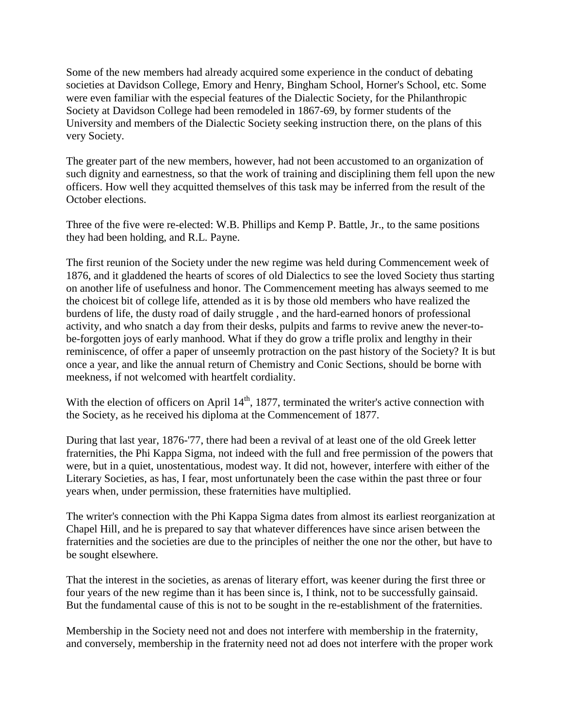Some of the new members had already acquired some experience in the conduct of debating societies at Davidson College, Emory and Henry, Bingham School, Horner's School, etc. Some were even familiar with the especial features of the Dialectic Society, for the Philanthropic Society at Davidson College had been remodeled in 1867-69, by former students of the University and members of the Dialectic Society seeking instruction there, on the plans of this very Society.

The greater part of the new members, however, had not been accustomed to an organization of such dignity and earnestness, so that the work of training and disciplining them fell upon the new officers. How well they acquitted themselves of this task may be inferred from the result of the October elections.

Three of the five were re-elected: W.B. Phillips and Kemp P. Battle, Jr., to the same positions they had been holding, and R.L. Payne.

The first reunion of the Society under the new regime was held during Commencement week of 1876, and it gladdened the hearts of scores of old Dialectics to see the loved Society thus starting on another life of usefulness and honor. The Commencement meeting has always seemed to me the choicest bit of college life, attended as it is by those old members who have realized the burdens of life, the dusty road of daily struggle , and the hard-earned honors of professional activity, and who snatch a day from their desks, pulpits and farms to revive anew the never-tobe-forgotten joys of early manhood. What if they do grow a trifle prolix and lengthy in their reminiscence, of offer a paper of unseemly protraction on the past history of the Society? It is but once a year, and like the annual return of Chemistry and Conic Sections, should be borne with meekness, if not welcomed with heartfelt cordiality.

With the election of officers on April  $14<sup>th</sup>$ , 1877, terminated the writer's active connection with the Society, as he received his diploma at the Commencement of 1877.

During that last year, 1876-'77, there had been a revival of at least one of the old Greek letter fraternities, the Phi Kappa Sigma, not indeed with the full and free permission of the powers that were, but in a quiet, unostentatious, modest way. It did not, however, interfere with either of the Literary Societies, as has, I fear, most unfortunately been the case within the past three or four years when, under permission, these fraternities have multiplied.

The writer's connection with the Phi Kappa Sigma dates from almost its earliest reorganization at Chapel Hill, and he is prepared to say that whatever differences have since arisen between the fraternities and the societies are due to the principles of neither the one nor the other, but have to be sought elsewhere.

That the interest in the societies, as arenas of literary effort, was keener during the first three or four years of the new regime than it has been since is, I think, not to be successfully gainsaid. But the fundamental cause of this is not to be sought in the re-establishment of the fraternities.

Membership in the Society need not and does not interfere with membership in the fraternity, and conversely, membership in the fraternity need not ad does not interfere with the proper work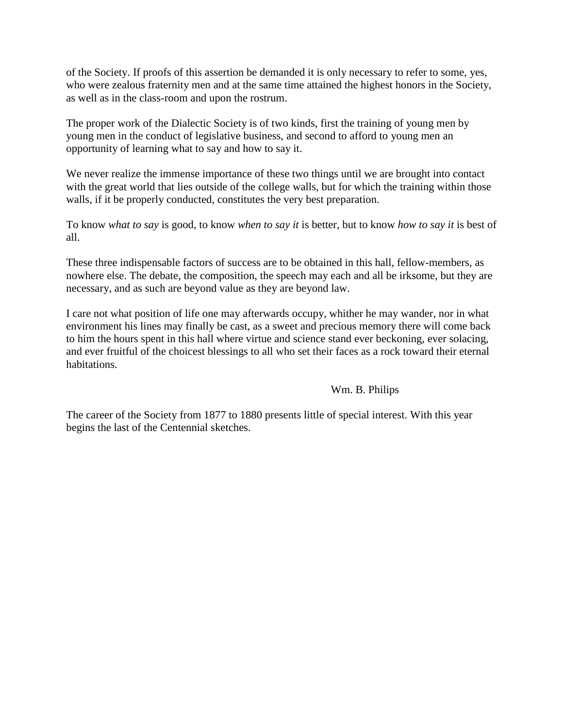of the Society. If proofs of this assertion be demanded it is only necessary to refer to some, yes, who were zealous fraternity men and at the same time attained the highest honors in the Society, as well as in the class-room and upon the rostrum.

The proper work of the Dialectic Society is of two kinds, first the training of young men by young men in the conduct of legislative business, and second to afford to young men an opportunity of learning what to say and how to say it.

We never realize the immense importance of these two things until we are brought into contact with the great world that lies outside of the college walls, but for which the training within those walls, if it be properly conducted, constitutes the very best preparation.

To know *what to say* is good, to know *when to say it* is better, but to know *how to say it* is best of all.

These three indispensable factors of success are to be obtained in this hall, fellow-members, as nowhere else. The debate, the composition, the speech may each and all be irksome, but they are necessary, and as such are beyond value as they are beyond law.

I care not what position of life one may afterwards occupy, whither he may wander, nor in what environment his lines may finally be cast, as a sweet and precious memory there will come back to him the hours spent in this hall where virtue and science stand ever beckoning, ever solacing, and ever fruitful of the choicest blessings to all who set their faces as a rock toward their eternal habitations.

# Wm. B. Philips

The career of the Society from 1877 to 1880 presents little of special interest. With this year begins the last of the Centennial sketches.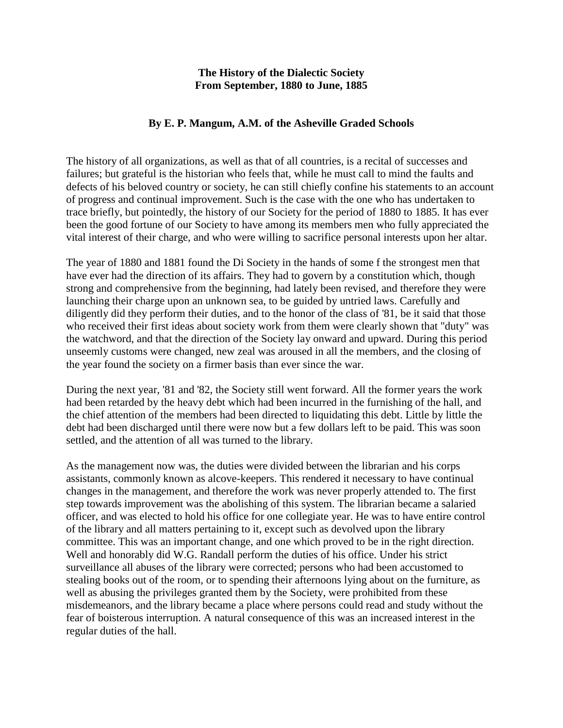# **The History of the Dialectic Society From September, 1880 to June, 1885**

# **By E. P. Mangum, A.M. of the Asheville Graded Schools**

The history of all organizations, as well as that of all countries, is a recital of successes and failures; but grateful is the historian who feels that, while he must call to mind the faults and defects of his beloved country or society, he can still chiefly confine his statements to an account of progress and continual improvement. Such is the case with the one who has undertaken to trace briefly, but pointedly, the history of our Society for the period of 1880 to 1885. It has ever been the good fortune of our Society to have among its members men who fully appreciated the vital interest of their charge, and who were willing to sacrifice personal interests upon her altar.

The year of 1880 and 1881 found the Di Society in the hands of some f the strongest men that have ever had the direction of its affairs. They had to govern by a constitution which, though strong and comprehensive from the beginning, had lately been revised, and therefore they were launching their charge upon an unknown sea, to be guided by untried laws. Carefully and diligently did they perform their duties, and to the honor of the class of '81, be it said that those who received their first ideas about society work from them were clearly shown that "duty" was the watchword, and that the direction of the Society lay onward and upward. During this period unseemly customs were changed, new zeal was aroused in all the members, and the closing of the year found the society on a firmer basis than ever since the war.

During the next year, '81 and '82, the Society still went forward. All the former years the work had been retarded by the heavy debt which had been incurred in the furnishing of the hall, and the chief attention of the members had been directed to liquidating this debt. Little by little the debt had been discharged until there were now but a few dollars left to be paid. This was soon settled, and the attention of all was turned to the library.

As the management now was, the duties were divided between the librarian and his corps assistants, commonly known as alcove-keepers. This rendered it necessary to have continual changes in the management, and therefore the work was never properly attended to. The first step towards improvement was the abolishing of this system. The librarian became a salaried officer, and was elected to hold his office for one collegiate year. He was to have entire control of the library and all matters pertaining to it, except such as devolved upon the library committee. This was an important change, and one which proved to be in the right direction. Well and honorably did W.G. Randall perform the duties of his office. Under his strict surveillance all abuses of the library were corrected; persons who had been accustomed to stealing books out of the room, or to spending their afternoons lying about on the furniture, as well as abusing the privileges granted them by the Society, were prohibited from these misdemeanors, and the library became a place where persons could read and study without the fear of boisterous interruption. A natural consequence of this was an increased interest in the regular duties of the hall.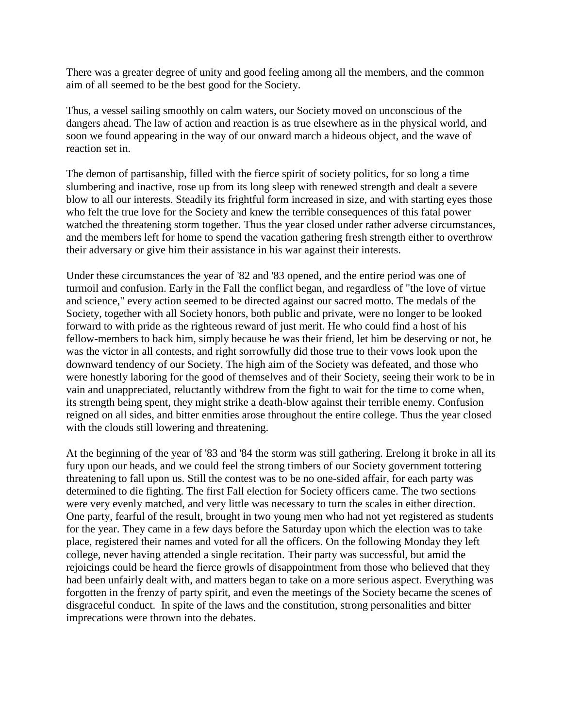There was a greater degree of unity and good feeling among all the members, and the common aim of all seemed to be the best good for the Society.

Thus, a vessel sailing smoothly on calm waters, our Society moved on unconscious of the dangers ahead. The law of action and reaction is as true elsewhere as in the physical world, and soon we found appearing in the way of our onward march a hideous object, and the wave of reaction set in.

The demon of partisanship, filled with the fierce spirit of society politics, for so long a time slumbering and inactive, rose up from its long sleep with renewed strength and dealt a severe blow to all our interests. Steadily its frightful form increased in size, and with starting eyes those who felt the true love for the Society and knew the terrible consequences of this fatal power watched the threatening storm together. Thus the year closed under rather adverse circumstances, and the members left for home to spend the vacation gathering fresh strength either to overthrow their adversary or give him their assistance in his war against their interests.

Under these circumstances the year of '82 and '83 opened, and the entire period was one of turmoil and confusion. Early in the Fall the conflict began, and regardless of "the love of virtue and science," every action seemed to be directed against our sacred motto. The medals of the Society, together with all Society honors, both public and private, were no longer to be looked forward to with pride as the righteous reward of just merit. He who could find a host of his fellow-members to back him, simply because he was their friend, let him be deserving or not, he was the victor in all contests, and right sorrowfully did those true to their vows look upon the downward tendency of our Society. The high aim of the Society was defeated, and those who were honestly laboring for the good of themselves and of their Society, seeing their work to be in vain and unappreciated, reluctantly withdrew from the fight to wait for the time to come when, its strength being spent, they might strike a death-blow against their terrible enemy. Confusion reigned on all sides, and bitter enmities arose throughout the entire college. Thus the year closed with the clouds still lowering and threatening.

At the beginning of the year of '83 and '84 the storm was still gathering. Erelong it broke in all its fury upon our heads, and we could feel the strong timbers of our Society government tottering threatening to fall upon us. Still the contest was to be no one-sided affair, for each party was determined to die fighting. The first Fall election for Society officers came. The two sections were very evenly matched, and very little was necessary to turn the scales in either direction. One party, fearful of the result, brought in two young men who had not yet registered as students for the year. They came in a few days before the Saturday upon which the election was to take place, registered their names and voted for all the officers. On the following Monday they left college, never having attended a single recitation. Their party was successful, but amid the rejoicings could be heard the fierce growls of disappointment from those who believed that they had been unfairly dealt with, and matters began to take on a more serious aspect. Everything was forgotten in the frenzy of party spirit, and even the meetings of the Society became the scenes of disgraceful conduct. In spite of the laws and the constitution, strong personalities and bitter imprecations were thrown into the debates.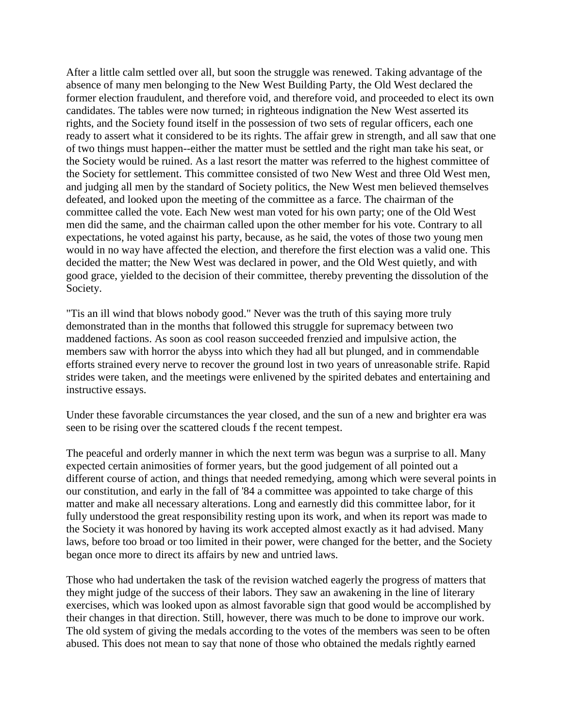After a little calm settled over all, but soon the struggle was renewed. Taking advantage of the absence of many men belonging to the New West Building Party, the Old West declared the former election fraudulent, and therefore void, and therefore void, and proceeded to elect its own candidates. The tables were now turned; in righteous indignation the New West asserted its rights, and the Society found itself in the possession of two sets of regular officers, each one ready to assert what it considered to be its rights. The affair grew in strength, and all saw that one of two things must happen--either the matter must be settled and the right man take his seat, or the Society would be ruined. As a last resort the matter was referred to the highest committee of the Society for settlement. This committee consisted of two New West and three Old West men, and judging all men by the standard of Society politics, the New West men believed themselves defeated, and looked upon the meeting of the committee as a farce. The chairman of the committee called the vote. Each New west man voted for his own party; one of the Old West men did the same, and the chairman called upon the other member for his vote. Contrary to all expectations, he voted against his party, because, as he said, the votes of those two young men would in no way have affected the election, and therefore the first election was a valid one. This decided the matter; the New West was declared in power, and the Old West quietly, and with good grace, yielded to the decision of their committee, thereby preventing the dissolution of the Society.

"Tis an ill wind that blows nobody good." Never was the truth of this saying more truly demonstrated than in the months that followed this struggle for supremacy between two maddened factions. As soon as cool reason succeeded frenzied and impulsive action, the members saw with horror the abyss into which they had all but plunged, and in commendable efforts strained every nerve to recover the ground lost in two years of unreasonable strife. Rapid strides were taken, and the meetings were enlivened by the spirited debates and entertaining and instructive essays.

Under these favorable circumstances the year closed, and the sun of a new and brighter era was seen to be rising over the scattered clouds f the recent tempest.

The peaceful and orderly manner in which the next term was begun was a surprise to all. Many expected certain animosities of former years, but the good judgement of all pointed out a different course of action, and things that needed remedying, among which were several points in our constitution, and early in the fall of '84 a committee was appointed to take charge of this matter and make all necessary alterations. Long and earnestly did this committee labor, for it fully understood the great responsibility resting upon its work, and when its report was made to the Society it was honored by having its work accepted almost exactly as it had advised. Many laws, before too broad or too limited in their power, were changed for the better, and the Society began once more to direct its affairs by new and untried laws.

Those who had undertaken the task of the revision watched eagerly the progress of matters that they might judge of the success of their labors. They saw an awakening in the line of literary exercises, which was looked upon as almost favorable sign that good would be accomplished by their changes in that direction. Still, however, there was much to be done to improve our work. The old system of giving the medals according to the votes of the members was seen to be often abused. This does not mean to say that none of those who obtained the medals rightly earned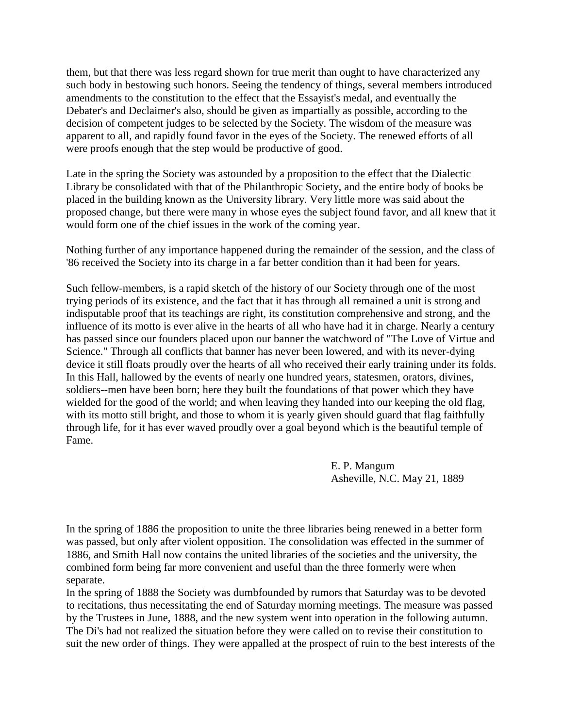them, but that there was less regard shown for true merit than ought to have characterized any such body in bestowing such honors. Seeing the tendency of things, several members introduced amendments to the constitution to the effect that the Essayist's medal, and eventually the Debater's and Declaimer's also, should be given as impartially as possible, according to the decision of competent judges to be selected by the Society. The wisdom of the measure was apparent to all, and rapidly found favor in the eyes of the Society. The renewed efforts of all were proofs enough that the step would be productive of good.

Late in the spring the Society was astounded by a proposition to the effect that the Dialectic Library be consolidated with that of the Philanthropic Society, and the entire body of books be placed in the building known as the University library. Very little more was said about the proposed change, but there were many in whose eyes the subject found favor, and all knew that it would form one of the chief issues in the work of the coming year.

Nothing further of any importance happened during the remainder of the session, and the class of '86 received the Society into its charge in a far better condition than it had been for years.

Such fellow-members, is a rapid sketch of the history of our Society through one of the most trying periods of its existence, and the fact that it has through all remained a unit is strong and indisputable proof that its teachings are right, its constitution comprehensive and strong, and the influence of its motto is ever alive in the hearts of all who have had it in charge. Nearly a century has passed since our founders placed upon our banner the watchword of "The Love of Virtue and Science." Through all conflicts that banner has never been lowered, and with its never-dying device it still floats proudly over the hearts of all who received their early training under its folds. In this Hall, hallowed by the events of nearly one hundred years, statesmen, orators, divines, soldiers--men have been born; here they built the foundations of that power which they have wielded for the good of the world; and when leaving they handed into our keeping the old flag, with its motto still bright, and those to whom it is yearly given should guard that flag faithfully through life, for it has ever waved proudly over a goal beyond which is the beautiful temple of Fame.

> E. P. Mangum Asheville, N.C. May 21, 1889

In the spring of 1886 the proposition to unite the three libraries being renewed in a better form was passed, but only after violent opposition. The consolidation was effected in the summer of 1886, and Smith Hall now contains the united libraries of the societies and the university, the combined form being far more convenient and useful than the three formerly were when separate.

In the spring of 1888 the Society was dumbfounded by rumors that Saturday was to be devoted to recitations, thus necessitating the end of Saturday morning meetings. The measure was passed by the Trustees in June, 1888, and the new system went into operation in the following autumn. The Di's had not realized the situation before they were called on to revise their constitution to suit the new order of things. They were appalled at the prospect of ruin to the best interests of the